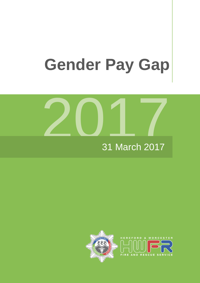# **Gender Pay Gap**



# 31 March 2017

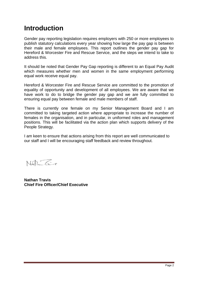### **Introduction**

Gender pay reporting legislation requires employers with 250 or more employees to publish statutory calculations every year showing how large the pay gap is between their male and female employees. This report outlines the gender pay gap for Hereford & Worcester Fire and Rescue Service, and the steps we intend to take to address this.

It should be noted that Gender Pay Gap reporting is different to an Equal Pay Audit which measures whether men and women in the same employment performing equal work receive equal pay.

Hereford & Worcester Fire and Rescue Service are committed to the promotion of equality of opportunity and development of all employees. We are aware that we have work to do to bridge the gender pay gap and we are fully committed to ensuring equal pay between female and male members of staff.

There is currently one female on my Senior Management Board and I am committed to taking targeted action where appropriate to increase the number of females in the organisation, and in particular, in uniformed roles and management positions. This will be facilitated via the action plan which supports delivery of the People Strategy.

I am keen to ensure that actions arising from this report are well communicated to our staff and I will be encouraging staff feedback and review throughout.

Noth Time

**Nathan Travis Chief Fire Officer/Chief Executive**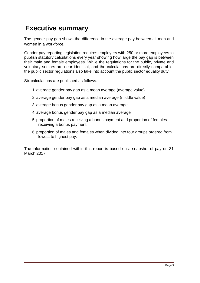# **Executive summary**

The gender pay gap shows the difference in the average pay between all men and women in a workforce**.** 

Gender pay reporting legislation requires employers with 250 or more employees to publish statutory calculations every year showing how large the pay gap is between their male and female employees. While the regulations for the public, private and voluntary sectors are near identical, and the calculations are directly comparable, the public sector regulations also take into account the public sector equality duty.

Six calculations are published as follows:

- 1. average gender pay gap as a mean average (average value)
- 2. average gender pay gap as a median average (middle value)
- 3. average bonus gender pay gap as a mean average
- 4. average bonus gender pay gap as a median average
- 5. proportion of males receiving a bonus payment and proportion of females receiving a bonus payment
- 6. proportion of males and females when divided into four groups ordered from lowest to highest pay.

The information contained within this report is based on a snapshot of pay on 31 March 2017.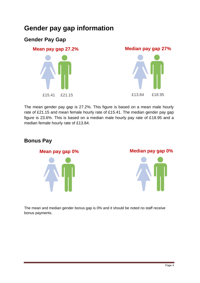### **Gender pay gap information**

#### **Gender Pay Gap**



The mean gender pay gap is 27.2%. This figure is based on a mean male hourly rate of £21.15 and mean female hourly rate of £15.41. The median gender pay gap figure is 23.6%. This is based on a median male hourly pay rate of £18.95 and a median female hourly rate of £13.84.



**Mean pay gap 0% Median pay gap 0%**

The mean and median gender bonus gap is 0% and it should be noted no staff receive bonus payments.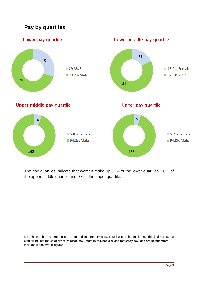#### **Pay by quartiles**



The pay quartiles indicate that women make up 81% of the lower quartiles, 10% of the upper middle quartile and 9% in the upper quartile.

NB**:** The numbers referred to in this report differs from HWFRS actual establishment figure. This is due to some staff falling into the category of 'reduced pay' (staff on reduced sick and maternity pay) and are not therefore included in the overall figures.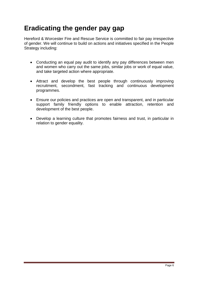# **Eradicating the gender pay gap**

Hereford & Worcester Fire and Rescue Service is committed to fair pay irrespective of gender. We will continue to build on actions and initiatives specified in the People Strategy including:

- Conducting an equal pay audit to identify any pay differences between men and women who carry out the same jobs, similar jobs or work of equal value, and take targeted action where appropriate.
- Attract and develop the best people through continuously improving recruitment, secondment, fast tracking and continuous development programmes.
- Ensure our policies and practices are open and transparent, and in particular support family friendly options to enable attraction, retention and development of the best people.
- Develop a learning culture that promotes fairness and trust, in particular in relation to gender equality.